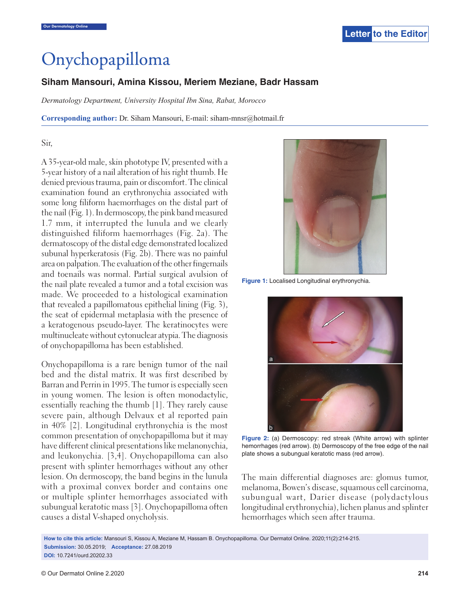# Onychopapilloma

## **Siham Mansouri, Amina Kissou, Meriem Meziane, Badr Hassam**

*Dermatology Department, University Hospital Ibn Sina, Rabat, Morocco*

**Corresponding author:** Dr. Siham Mansouri, E-mail: siham-mnsr@hotmail.fr

Sir,

A 35-year-old male, skin phototype IV, presented with a 5-year history of a nail alteration of his right thumb. He denied previous trauma, pain or discomfort. The clinical examination found an erythronychia associated with some long filiform haemorrhages on the distal part of the nail (Fig. 1). In dermoscopy, the pink band measured 1.7 mm, it interrupted the lunula and we clearly distinguished filiform haemorrhages (Fig. 2a). The dermatoscopy of the distal edge demonstrated localized subunal hyperkeratosis (Fig. 2b). There was no painful area on palpation. The evaluation of the other fingernails and toenails was normal. Partial surgical avulsion of the nail plate revealed a tumor and a total excision was made. We proceeded to a histological examination that revealed a papillomatous epithelial lining (Fig. 3), the seat of epidermal metaplasia with the presence of a keratogenous pseudo-layer. The keratinocytes were multinucleate without cytonuclear atypia. The diagnosis of onychopapilloma has been established.

Onychopapilloma is a rare benign tumor of the nail bed and the distal matrix. It was first described by Barran and Perrin in 1995. The tumor is especially seen in young women. The lesion is often monodactylic, essentially reaching the thumb [1]. They rarely cause severe pain, although Delvaux et al reported pain in 40% [2]. Longitudinal erythronychia is the most common presentation of onychopapilloma but it may have different clinical presentations like melanonychia, and leukonychia. [3,4]. Onychopapilloma can also present with splinter hemorrhages without any other lesion. On dermoscopy, the band begins in the lunula with a proximal convex border and contains one or multiple splinter hemorrhages associated with subungual keratotic mass [3]. Onychopapilloma often causes a distal V-shaped onycholysis.



**Figure 1:** Localised Longitudinal erythronychia.



**Figure 2:** (a) Dermoscopy: red streak (White arrow) with splinter hemorrhages (red arrow). (b) Dermoscopy of the free edge of the nail plate shows a subungual keratotic mass (red arrow).

The main differential diagnoses are: glomus tumor, melanoma, Bowen's disease, squamous cell carcinoma, subungual wart, Darier disease (polydactylous longitudinal erythronychia), lichen planus and splinter hemorrhages which seen after trauma.

**How to cite this article:** Mansouri S, Kissou A, Meziane M, Hassam B. Onychopapilloma. Our Dermatol Online. 2020;11(2):214-215. **Submission:** 30.05.2019; **Acceptance:** 27.08.2019 **DOI:** 10.7241/ourd.20202.33